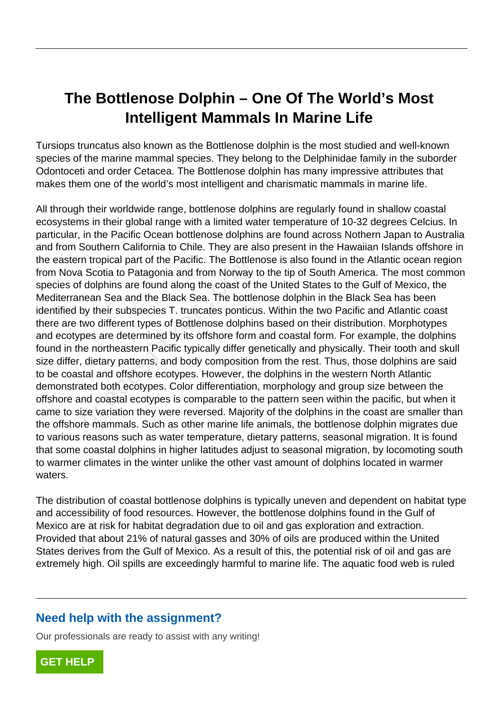# **The Bottlenose Dolphin – One Of The World's Most Intelligent Mammals In Marine Life**

Tursiops truncatus also known as the Bottlenose dolphin is the most studied and well-known species of the marine mammal species. They belong to the Delphinidae family in the suborder Odontoceti and order Cetacea. The Bottlenose dolphin has many impressive attributes that makes them one of the world's most intelligent and charismatic mammals in marine life.

All through their worldwide range, bottlenose dolphins are regularly found in shallow coastal ecosystems in their global range with a limited water temperature of 10-32 degrees Celcius. In particular, in the Pacific Ocean bottlenose dolphins are found across Nothern Japan to Australia and from Southern California to Chile. They are also present in the Hawaiian Islands offshore in the eastern tropical part of the Pacific. The Bottlenose is also found in the Atlantic ocean region from Nova Scotia to Patagonia and from Norway to the tip of South America. The most common species of dolphins are found along the coast of the United States to the Gulf of Mexico, the Mediterranean Sea and the Black Sea. The bottlenose dolphin in the Black Sea has been identified by their subspecies T. truncates ponticus. Within the two Pacific and Atlantic coast there are two different types of Bottlenose dolphins based on their distribution. Morphotypes and ecotypes are determined by its offshore form and coastal form. For example, the dolphins found in the northeastern Pacific typically differ genetically and physically. Their tooth and skull size differ, dietary patterns, and body composition from the rest. Thus, those dolphins are said to be coastal and offshore ecotypes. However, the dolphins in the western North Atlantic demonstrated both ecotypes. Color differentiation, morphology and group size between the offshore and coastal ecotypes is comparable to the pattern seen within the pacific, but when it came to size variation they were reversed. Majority of the dolphins in the coast are smaller than the offshore mammals. Such as other marine life animals, the bottlenose dolphin migrates due to various reasons such as water temperature, dietary patterns, seasonal migration. It is found that some coastal dolphins in higher latitudes adjust to seasonal migration, by locomoting south to warmer climates in the winter unlike the other vast amount of dolphins located in warmer waters. Propical part of the Fracilic. The Bottle<br>Scotia to Patagonia and from Norway<br>dolphins are found along the coast of t<br>nean Sea and the Black Sea. The bottle<br>by their subspecies T. truncates pontict<br>wo different types of Bo

The distribution of coastal bottlenose dolphins is typically uneven and dependent on habitat type and accessibility of food resources. However, the bottlenose dolphins found in the Gulf of Mexico are at risk for habitat degradation due to oil and gas exploration and extraction. Provided that about 21% of natural gasses and 30% of oils are produced within the United States derives from the Gulf of Mexico. As a result of this, the potential risk of oil and gas are extremely high. Oil spills are exceedingly harmful to marine life. The aquatic food web is ruled

## **Need help with the assignment?**

Our professionals are ready to assist with any writing!

**[GET HELP](https://my.gradesfixer.com/order?utm_campaign=pdf_sample)**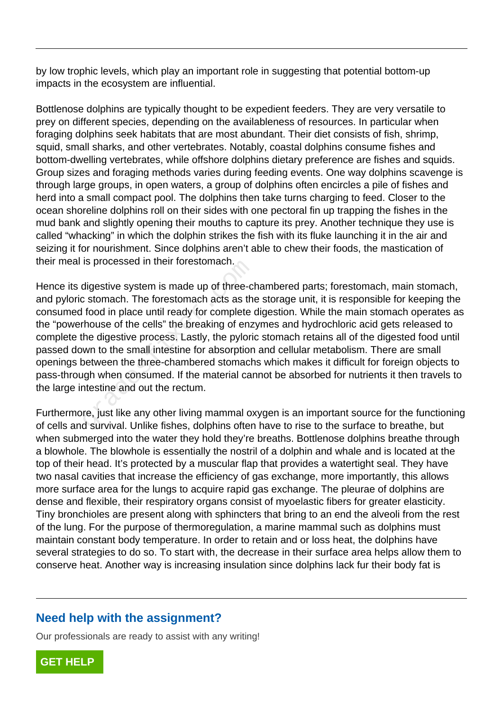by low trophic levels, which play an important role in suggesting that potential bottom-up impacts in the ecosystem are influential.

Bottlenose dolphins are typically thought to be expedient feeders. They are very versatile to prey on different species, depending on the availableness of resources. In particular when foraging dolphins seek habitats that are most abundant. Their diet consists of fish, shrimp, squid, small sharks, and other vertebrates. Notably, coastal dolphins consume fishes and bottom-dwelling vertebrates, while offshore dolphins dietary preference are fishes and squids. Group sizes and foraging methods varies during feeding events. One way dolphins scavenge is through large groups, in open waters, a group of dolphins often encircles a pile of fishes and herd into a small compact pool. The dolphins then take turns charging to feed. Closer to the ocean shoreline dolphins roll on their sides with one pectoral fin up trapping the fishes in the mud bank and slightly opening their mouths to capture its prey. Another technique they use is called "whacking" in which the dolphin strikes the fish with its fluke launching it in the air and seizing it for nourishment. Since dolphins aren't able to chew their foods, the mastication of their meal is processed in their forestomach.

Hence its digestive system is made up of three-chambered parts; forestomach, main stomach, and pyloric stomach. The forestomach acts as the storage unit, it is responsible for keeping the consumed food in place until ready for complete digestion. While the main stomach operates as the "powerhouse of the cells" the breaking of enzymes and hydrochloric acid gets released to complete the digestive process. Lastly, the pyloric stomach retains all of the digested food until passed down to the small intestine for absorption and cellular metabolism. There are small openings between the three-chambered stomachs which makes it difficult for foreign objects to pass-through when consumed. If the material cannot be absorbed for nutrients it then travels to the large intestine and out the rectum. Is processed in their iorestomach.<br>digestive system is made up of three-cl<br>c stomach. The forestomach acts as the<br>food in place until ready for complete<br>house of the cells" the breaking of enz<br>he digestive process. Lastly,

Furthermore, just like any other living mammal oxygen is an important source for the functioning of cells and survival. Unlike fishes, dolphins often have to rise to the surface to breathe, but when submerged into the water they hold they're breaths. Bottlenose dolphins breathe through a blowhole. The blowhole is essentially the nostril of a dolphin and whale and is located at the top of their head. It's protected by a muscular flap that provides a watertight seal. They have two nasal cavities that increase the efficiency of gas exchange, more importantly, this allows more surface area for the lungs to acquire rapid gas exchange. The pleurae of dolphins are dense and flexible, their respiratory organs consist of myoelastic fibers for greater elasticity. Tiny bronchioles are present along with sphincters that bring to an end the alveoli from the rest of the lung. For the purpose of thermoregulation, a marine mammal such as dolphins must maintain constant body temperature. In order to retain and or loss heat, the dolphins have several strategies to do so. To start with, the decrease in their surface area helps allow them to conserve heat. Another way is increasing insulation since dolphins lack fur their body fat is

### **Need help with the assignment?**

Our professionals are ready to assist with any writing!

**[GET HELP](https://my.gradesfixer.com/order?utm_campaign=pdf_sample)**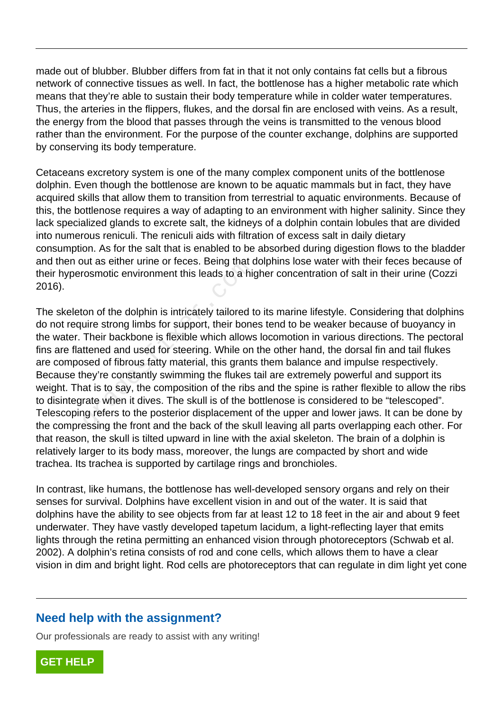made out of blubber. Blubber differs from fat in that it not only contains fat cells but a fibrous network of connective tissues as well. In fact, the bottlenose has a higher metabolic rate which means that they're able to sustain their body temperature while in colder water temperatures. Thus, the arteries in the flippers, flukes, and the dorsal fin are enclosed with veins. As a result, the energy from the blood that passes through the veins is transmitted to the venous blood rather than the environment. For the purpose of the counter exchange, dolphins are supported by conserving its body temperature.

Cetaceans excretory system is one of the many complex component units of the bottlenose dolphin. Even though the bottlenose are known to be aquatic mammals but in fact, they have acquired skills that allow them to transition from terrestrial to aquatic environments. Because of this, the bottlenose requires a way of adapting to an environment with higher salinity. Since they lack specialized glands to excrete salt, the kidneys of a dolphin contain lobules that are divided into numerous reniculi. The reniculi aids with filtration of excess salt in daily dietary consumption. As for the salt that is enabled to be absorbed during digestion flows to the bladder and then out as either urine or feces. Being that dolphins lose water with their feces because of their hyperosmotic environment this leads to a higher concentration of salt in their urine (Cozzi 2016).

The skeleton of the dolphin is intricately tailored to its marine lifestyle. Considering that dolphins do not require strong limbs for support, their bones tend to be weaker because of buoyancy in the water. Their backbone is flexible which allows locomotion in various directions. The pectoral fins are flattened and used for steering. While on the other hand, the dorsal fin and tail flukes are composed of fibrous fatty material, this grants them balance and impulse respectively. Because they're constantly swimming the flukes tail are extremely powerful and support its weight. That is to say, the composition of the ribs and the spine is rather flexible to allow the ribs to disintegrate when it dives. The skull is of the bottlenose is considered to be "telescoped". Telescoping refers to the posterior displacement of the upper and lower jaws. It can be done by the compressing the front and the back of the skull leaving all parts overlapping each other. For that reason, the skull is tilted upward in line with the axial skeleton. The brain of a dolphin is relatively larger to its body mass, moreover, the lungs are compacted by short and wide trachea. Its trachea is supported by cartilage rings and bronchioles. of the dolphin is intricately tailored in<br>cosmotic environment this leads to a high<br>on of the dolphin is intricately tailored t<br>uire strong limbs for support, their bone<br>Their backbone is flexible which allows<br>ttened and u

In contrast, like humans, the bottlenose has well-developed sensory organs and rely on their senses for survival. Dolphins have excellent vision in and out of the water. It is said that dolphins have the ability to see objects from far at least 12 to 18 feet in the air and about 9 feet underwater. They have vastly developed tapetum lacidum, a light-reflecting layer that emits lights through the retina permitting an enhanced vision through photoreceptors (Schwab et al. 2002). A dolphin's retina consists of rod and cone cells, which allows them to have a clear vision in dim and bright light. Rod cells are photoreceptors that can regulate in dim light yet cone

## **Need help with the assignment?**

Our professionals are ready to assist with any writing!

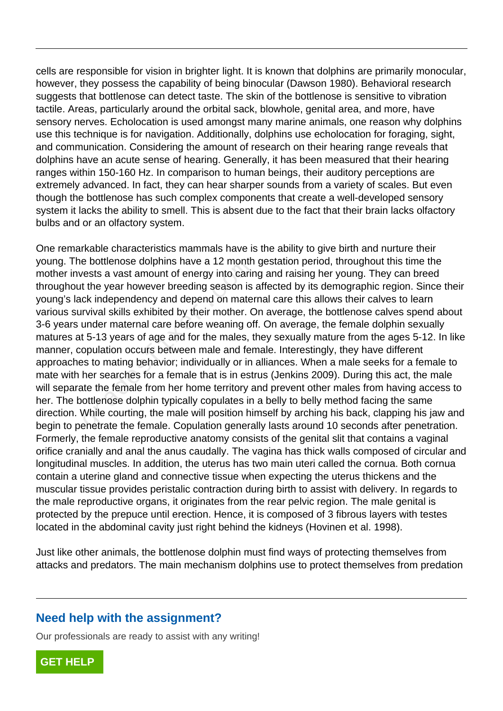cells are responsible for vision in brighter light. It is known that dolphins are primarily monocular, however, they possess the capability of being binocular (Dawson 1980). Behavioral research suggests that bottlenose can detect taste. The skin of the bottlenose is sensitive to vibration tactile. Areas, particularly around the orbital sack, blowhole, genital area, and more, have sensory nerves. Echolocation is used amongst many marine animals, one reason why dolphins use this technique is for navigation. Additionally, dolphins use echolocation for foraging, sight, and communication. Considering the amount of research on their hearing range reveals that dolphins have an acute sense of hearing. Generally, it has been measured that their hearing ranges within 150-160 Hz. In comparison to human beings, their auditory perceptions are extremely advanced. In fact, they can hear sharper sounds from a variety of scales. But even though the bottlenose has such complex components that create a well-developed sensory system it lacks the ability to smell. This is absent due to the fact that their brain lacks olfactory bulbs and or an olfactory system.

One remarkable characteristics mammals have is the ability to give birth and nurture their young. The bottlenose dolphins have a 12 month gestation period, throughout this time the mother invests a vast amount of energy into caring and raising her young. They can breed throughout the year however breeding season is affected by its demographic region. Since their young's lack independency and depend on maternal care this allows their calves to learn various survival skills exhibited by their mother. On average, the bottlenose calves spend about 3-6 years under maternal care before weaning off. On average, the female dolphin sexually matures at 5-13 years of age and for the males, they sexually mature from the ages 5-12. In like manner, copulation occurs between male and female. Interestingly, they have different approaches to mating behavior; individually or in alliances. When a male seeks for a female to mate with her searches for a female that is in estrus (Jenkins 2009). During this act, the male will separate the female from her home territory and prevent other males from having access to her. The bottlenose dolphin typically copulates in a belly to belly method facing the same direction. While courting, the male will position himself by arching his back, clapping his jaw and begin to penetrate the female. Copulation generally lasts around 10 seconds after penetration. Formerly, the female reproductive anatomy consists of the genital slit that contains a vaginal orifice cranially and anal the anus caudally. The vagina has thick walls composed of circular and longitudinal muscles. In addition, the uterus has two main uteri called the cornua. Both cornua contain a uterine gland and connective tissue when expecting the uterus thickens and the muscular tissue provides peristalic contraction during birth to assist with delivery. In regards to the male reproductive organs, it originates from the rear pelvic region. The male genital is protected by the prepuce until erection. Hence, it is composed of 3 fibrous layers with testes located in the abdominal cavity just right behind the kidneys (Hovinen et al. 1998). e bottlenose dolphins have a 12 month<br>rests a vast amount of energy into carincests a vast amount of energy into carince<br>for the year however breeding season is<br>ck independency and depend on mater<br>rvival skills exhibited b

Just like other animals, the bottlenose dolphin must find ways of protecting themselves from attacks and predators. The main mechanism dolphins use to protect themselves from predation

## **Need help with the assignment?**

Our professionals are ready to assist with any writing!

**[GET HELP](https://my.gradesfixer.com/order?utm_campaign=pdf_sample)**